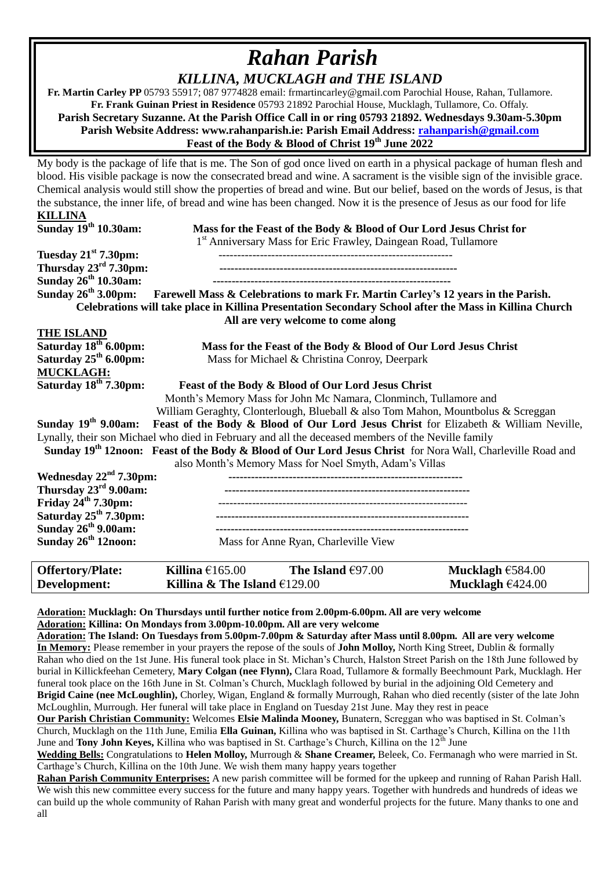## *Rahan Parish KILLINA, MUCKLAGH and THE ISLAND*

 **Fr. Martin Carley PP** 05793 55917; 087 9774828 email: frmartincarley@gmail.com Parochial House, Rahan, Tullamore. **Fr. Frank Guinan Priest in Residence** 05793 21892 Parochial House, Mucklagh, Tullamore, Co. Offaly. **Parish Secretary Suzanne. At the Parish Office Call in or ring 05793 21892. Wednesdays 9.30am-5.30pm Parish Website Address: www.rahanparish.ie: Parish Email Address: [rahanparish@gmail.com](mailto:rahanparish@gmail.com) Feast of the Body & Blood of Christ 19th June 2022**

My body is the package of life that is me. The Son of god once lived on earth in a physical package of human flesh and blood. His visible package is now the consecrated bread and wine. A sacrament is the visible sign of the invisible grace. Chemical analysis would still show the properties of bread and wine. But our belief, based on the words of Jesus, is that the substance, the inner life, of bread and wine has been changed. Now it is the presence of Jesus as our food for life

| <b>KILLINA</b>                    |                                                                                                                        |  |  |  |
|-----------------------------------|------------------------------------------------------------------------------------------------------------------------|--|--|--|
| Sunday 19 <sup>th</sup> 10.30am:  | Mass for the Feast of the Body & Blood of Our Lord Jesus Christ for                                                    |  |  |  |
|                                   | 1 <sup>st</sup> Anniversary Mass for Eric Frawley, Daingean Road, Tullamore                                            |  |  |  |
| Tuesday $21st$ 7.30pm:            |                                                                                                                        |  |  |  |
| Thursday $23^{\text{rd}}$ 7.30pm: |                                                                                                                        |  |  |  |
| Sunday 26 <sup>th</sup> 10.30am:  |                                                                                                                        |  |  |  |
| Sunday $26^{th}$ 3.00pm:          | Farewell Mass & Celebrations to mark Fr. Martin Carley's 12 years in the Parish.                                       |  |  |  |
|                                   | Celebrations will take place in Killina Presentation Secondary School after the Mass in Killina Church                 |  |  |  |
|                                   | All are very welcome to come along                                                                                     |  |  |  |
| <b>THE ISLAND</b>                 |                                                                                                                        |  |  |  |
| Saturday 18 <sup>th</sup> 6.00pm: | Mass for the Feast of the Body & Blood of Our Lord Jesus Christ                                                        |  |  |  |
| Saturday $25th 6.00$ pm:          | Mass for Michael & Christina Conroy, Deerpark                                                                          |  |  |  |
| <b>MUCKLAGH:</b>                  |                                                                                                                        |  |  |  |
| Saturday 18 <sup>th</sup> 7.30pm: | Feast of the Body & Blood of Our Lord Jesus Christ                                                                     |  |  |  |
|                                   | Month's Memory Mass for John Mc Namara, Clonminch, Tullamore and                                                       |  |  |  |
|                                   | William Geraghty, Clonterlough, Blueball & also Tom Mahon, Mountbolus & Screggan                                       |  |  |  |
|                                   | Sunday 19 <sup>th</sup> 9.00am: Feast of the Body & Blood of Our Lord Jesus Christ for Elizabeth & William Neville,    |  |  |  |
|                                   | Lynally, their son Michael who died in February and all the deceased members of the Neville family                     |  |  |  |
|                                   | Sunday 19 <sup>th</sup> 12noon: Feast of the Body & Blood of Our Lord Jesus Christ for Nora Wall, Charleville Road and |  |  |  |
|                                   | also Month's Memory Mass for Noel Smyth, Adam's Villas                                                                 |  |  |  |
| Wednesday $22nd 7.30$ pm:         |                                                                                                                        |  |  |  |
| Thursday 23 <sup>rd</sup> 9.00am: |                                                                                                                        |  |  |  |
| Friday $24th 7.30$ pm:            |                                                                                                                        |  |  |  |
| Saturday $25th$ 7.30pm:           |                                                                                                                        |  |  |  |
| Sunday $26th$ 9.00am:             |                                                                                                                        |  |  |  |
| Sunday 26 <sup>th</sup> 12noon:   | Mass for Anne Ryan, Charleville View                                                                                   |  |  |  |
|                                   |                                                                                                                        |  |  |  |

| <b>Offertory/Plate:</b> | Killina $£165.00$              | The Island $€97.00$ | Mucklagh $€584.00$ |
|-------------------------|--------------------------------|---------------------|--------------------|
| Development:            | Killina & The Island $£129.00$ |                     | Mucklagh $6424.00$ |

**Adoration: Mucklagh: On Thursdays until further notice from 2.00pm-6.00pm. All are very welcome Adoration: Killina: On Mondays from 3.00pm-10.00pm. All are very welcome**

**Adoration: The Island: On Tuesdays from 5.00pm-7.00pm & Saturday after Mass until 8.00pm. All are very welcome In Memory:** Please remember in your prayers the repose of the souls of **John Molloy,** North King Street, Dublin & formally Rahan who died on the 1st June. His funeral took place in St. Michan's Church, Halston Street Parish on the 18th June followed by burial in Killickfeehan Cemetery, **Mary Colgan (nee Flynn),** Clara Road, Tullamore & formally Beechmount Park, Mucklagh. Her funeral took place on the 16th June in St. Colman's Church, Mucklagh followed by burial in the adjoining Old Cemetery and **Brigid Caine (nee McLoughlin),** Chorley, Wigan, England & formally Murrough, Rahan who died recently (sister of the late John McLoughlin, Murrough. Her funeral will take place in England on Tuesday 21st June. May they rest in peace

**Our Parish Christian Community:** Welcomes **Elsie Malinda Mooney,** Bunatern, Screggan who was baptised in St. Colman's Church, Mucklagh on the 11th June, Emilia **Ella Guinan,** Killina who was baptised in St. Carthage's Church, Killina on the 11th June and **Tony John Keyes,** Killina who was baptised in St. Carthage's Church, Killina on the 12th June

**Wedding Bells:** Congratulations to **Helen Molloy,** Murrough & **Shane Creamer,** Beleek, Co. Fermanagh who were married in St. Carthage's Church, Killina on the 10th June. We wish them many happy years together

**Rahan Parish Community Enterprises:** A new parish committee will be formed for the upkeep and running of Rahan Parish Hall. We wish this new committee every success for the future and many happy years. Together with hundreds and hundreds of ideas we can build up the whole community of Rahan Parish with many great and wonderful projects for the future. Many thanks to one and all